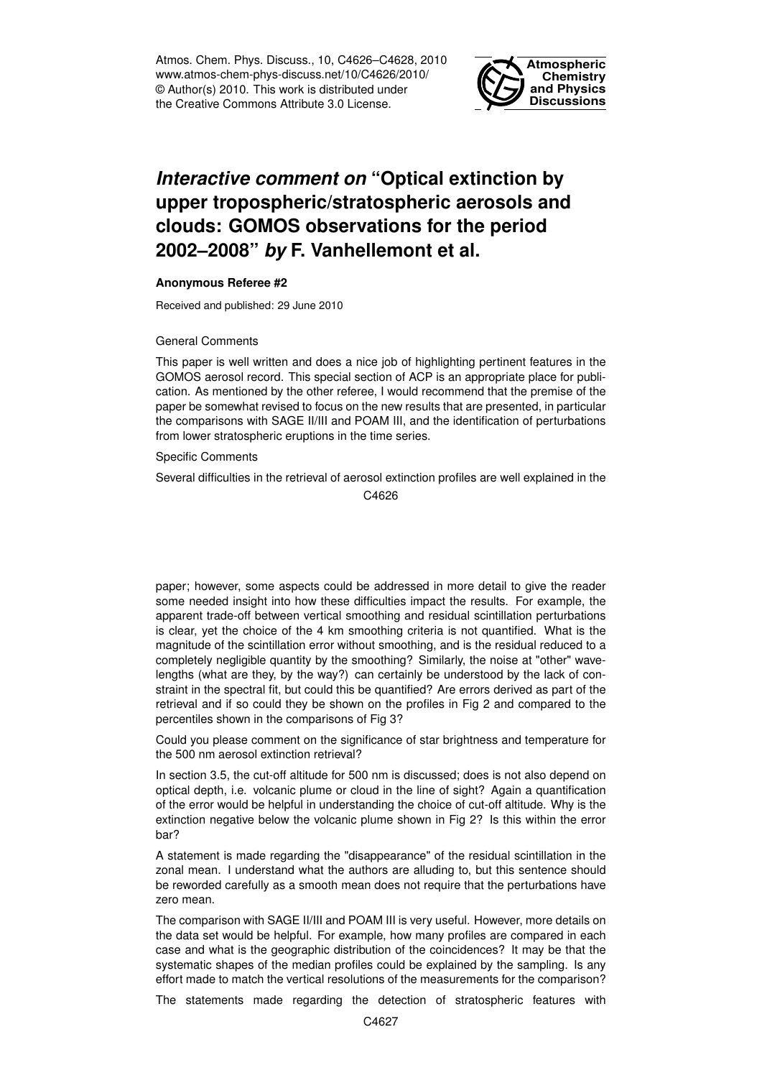Atmos. Chem. Phys. Discuss., 10, C4626–C4628, 2010 www.atmos-chem-phys-discuss.net/10/C4626/2010/ © Author(s) 2010. This work is distributed under the Creative Commons Attribute 3.0 License.



## *Interactive comment on* **"Optical extinction by upper tropospheric/stratospheric aerosols and clouds: GOMOS observations for the period 2002–2008"** *by* **F. Vanhellemont et al.**

## **Anonymous Referee #2**

Received and published: 29 June 2010

## General Comments

This paper is well written and does a nice job of highlighting pertinent features in the GOMOS aerosol record. This special section of ACP is an appropriate place for publication. As mentioned by the other referee, I would recommend that the premise of the paper be somewhat revised to focus on the new results that are presented, in particular the comparisons with SAGE II/III and POAM III, and the identification of perturbations from lower stratospheric eruptions in the time series.

Specific Comments

Several difficulties in the retrieval of aerosol extinction profiles are well explained in the C<sub>4626</sub>

paper; however, some aspects could be addressed in more detail to give the reader some needed insight into how these difficulties impact the results. For example, the apparent trade-off between vertical smoothing and residual scintillation perturbations is clear, yet the choice of the 4 km smoothing criteria is not quantified. What is the magnitude of the scintillation error without smoothing, and is the residual reduced to a completely negligible quantity by the smoothing? Similarly, the noise at "other" wavelengths (what are they, by the way?) can certainly be understood by the lack of constraint in the spectral fit, but could this be quantified? Are errors derived as part of the retrieval and if so could they be shown on the profiles in Fig 2 and compared to the percentiles shown in the comparisons of Fig 3?

Could you please comment on the significance of star brightness and temperature for the 500 nm aerosol extinction retrieval?

In section 3.5, the cut-off altitude for 500 nm is discussed; does is not also depend on optical depth, i.e. volcanic plume or cloud in the line of sight? Again a quantification of the error would be helpful in understanding the choice of cut-off altitude. Why is the extinction negative below the volcanic plume shown in Fig 2? Is this within the error bar?

A statement is made regarding the "disappearance" of the residual scintillation in the zonal mean. I understand what the authors are alluding to, but this sentence should be reworded carefully as a smooth mean does not require that the perturbations have zero mean.

The comparison with SAGE II/III and POAM III is very useful. However, more details on the data set would be helpful. For example, how many profiles are compared in each case and what is the geographic distribution of the coincidences? It may be that the systematic shapes of the median profiles could be explained by the sampling. Is any effort made to match the vertical resolutions of the measurements for the comparison?

The statements made regarding the detection of stratospheric features with